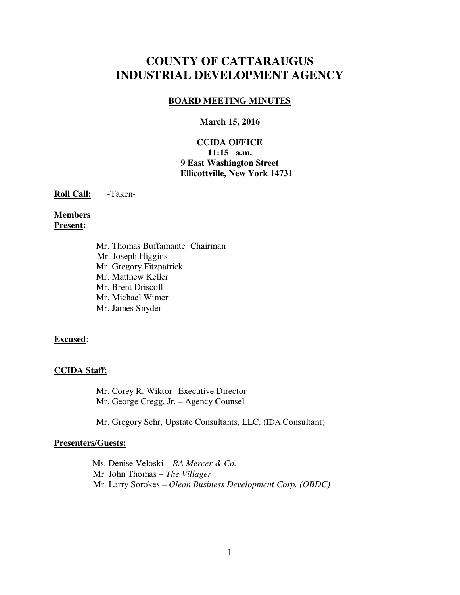# **COUNTY OF CATTARAUGUS INDUSTRIAL DEVELOPMENT AGENCY**

### **BOARD MEETING MINUTES**

#### **March 15, 2016**

### **CCIDA OFFICE 11:15 a.m. 9 East Washington Street Ellicottville, New York 14731**

**Roll Call:** -Taken-

### **Members Present:**

Mr. Thomas Buffamante – Chairman Mr. Joseph Higgins Mr. Gregory Fitzpatrick Mr. Matthew Keller Mr. Brent Driscoll Mr. Michael Wimer Mr. James Snyder

#### **Excused**:

### **CCIDA Staff:**

Mr. Corey R. Wiktor — Executive Director Mr. George Cregg, Jr. – Agency Counsel

Mr. Gregory Sehr, Upstate Consultants, LLC. (IDA Consultant)

### **Presenters/Guests:**

 Ms. Denise Veloski – *RA Mercer & Co.* Mr. John Thomas – *The Villager*  Mr. Larry Sorokes – *Olean Business Development Corp. (OBDC)*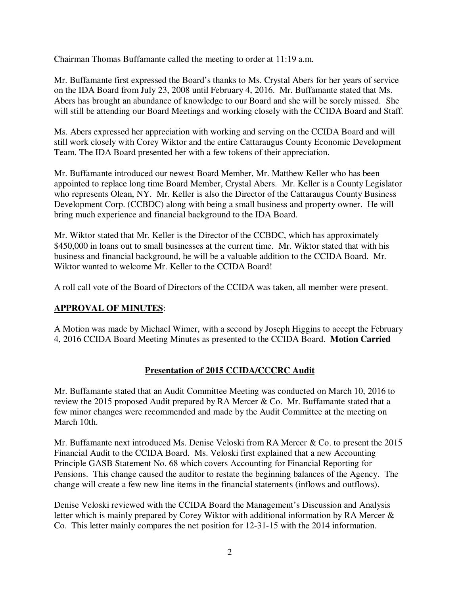Chairman Thomas Buffamante called the meeting to order at 11:19 a.m.

Mr. Buffamante first expressed the Board's thanks to Ms. Crystal Abers for her years of service on the IDA Board from July 23, 2008 until February 4, 2016. Mr. Buffamante stated that Ms. Abers has brought an abundance of knowledge to our Board and she will be sorely missed. She will still be attending our Board Meetings and working closely with the CCIDA Board and Staff.

Ms. Abers expressed her appreciation with working and serving on the CCIDA Board and will still work closely with Corey Wiktor and the entire Cattaraugus County Economic Development Team. The IDA Board presented her with a few tokens of their appreciation.

Mr. Buffamante introduced our newest Board Member, Mr. Matthew Keller who has been appointed to replace long time Board Member, Crystal Abers. Mr. Keller is a County Legislator who represents Olean, NY. Mr. Keller is also the Director of the Cattaraugus County Business Development Corp. (CCBDC) along with being a small business and property owner. He will bring much experience and financial background to the IDA Board.

Mr. Wiktor stated that Mr. Keller is the Director of the CCBDC, which has approximately \$450,000 in loans out to small businesses at the current time. Mr. Wiktor stated that with his business and financial background, he will be a valuable addition to the CCIDA Board. Mr. Wiktor wanted to welcome Mr. Keller to the CCIDA Board!

A roll call vote of the Board of Directors of the CCIDA was taken, all member were present.

### **APPROVAL OF MINUTES**:

A Motion was made by Michael Wimer, with a second by Joseph Higgins to accept the February 4, 2016 CCIDA Board Meeting Minutes as presented to the CCIDA Board. **Motion Carried** 

### **Presentation of 2015 CCIDA/CCCRC Audit**

Mr. Buffamante stated that an Audit Committee Meeting was conducted on March 10, 2016 to review the 2015 proposed Audit prepared by RA Mercer & Co. Mr. Buffamante stated that a few minor changes were recommended and made by the Audit Committee at the meeting on March 10th.

Mr. Buffamante next introduced Ms. Denise Veloski from RA Mercer & Co. to present the 2015 Financial Audit to the CCIDA Board. Ms. Veloski first explained that a new Accounting Principle GASB Statement No. 68 which covers Accounting for Financial Reporting for Pensions. This change caused the auditor to restate the beginning balances of the Agency. The change will create a few new line items in the financial statements (inflows and outflows).

Denise Veloski reviewed with the CCIDA Board the Management's Discussion and Analysis letter which is mainly prepared by Corey Wiktor with additional information by RA Mercer & Co. This letter mainly compares the net position for 12-31-15 with the 2014 information.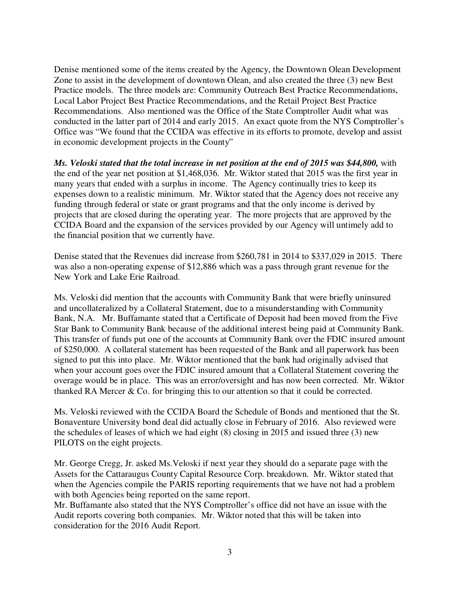Denise mentioned some of the items created by the Agency, the Downtown Olean Development Zone to assist in the development of downtown Olean, and also created the three (3) new Best Practice models. The three models are: Community Outreach Best Practice Recommendations, Local Labor Project Best Practice Recommendations, and the Retail Project Best Practice Recommendations. Also mentioned was the Office of the State Comptroller Audit what was conducted in the latter part of 2014 and early 2015. An exact quote from the NYS Comptroller's Office was "We found that the CCIDA was effective in its efforts to promote, develop and assist in economic development projects in the County"

*Ms. Veloski stated that the total increase in net position at the end of 2015 was \$44,800,* with the end of the year net position at \$1,468,036. Mr. Wiktor stated that 2015 was the first year in many years that ended with a surplus in income. The Agency continually tries to keep its expenses down to a realistic minimum. Mr. Wiktor stated that the Agency does not receive any funding through federal or state or grant programs and that the only income is derived by projects that are closed during the operating year. The more projects that are approved by the CCIDA Board and the expansion of the services provided by our Agency will untimely add to the financial position that we currently have.

Denise stated that the Revenues did increase from \$260,781 in 2014 to \$337,029 in 2015. There was also a non-operating expense of \$12,886 which was a pass through grant revenue for the New York and Lake Erie Railroad.

Ms. Veloski did mention that the accounts with Community Bank that were briefly uninsured and uncollateralized by a Collateral Statement, due to a misunderstanding with Community Bank, N.A. Mr. Buffamante stated that a Certificate of Deposit had been moved from the Five Star Bank to Community Bank because of the additional interest being paid at Community Bank. This transfer of funds put one of the accounts at Community Bank over the FDIC insured amount of \$250,000. A collateral statement has been requested of the Bank and all paperwork has been signed to put this into place. Mr. Wiktor mentioned that the bank had originally advised that when your account goes over the FDIC insured amount that a Collateral Statement covering the overage would be in place. This was an error/oversight and has now been corrected. Mr. Wiktor thanked RA Mercer & Co. for bringing this to our attention so that it could be corrected.

Ms. Veloski reviewed with the CCIDA Board the Schedule of Bonds and mentioned that the St. Bonaventure University bond deal did actually close in February of 2016. Also reviewed were the schedules of leases of which we had eight (8) closing in 2015 and issued three (3) new PILOTS on the eight projects.

Mr. George Cregg, Jr. asked Ms.Veloski if next year they should do a separate page with the Assets for the Cattaraugus County Capital Resource Corp. breakdown. Mr. Wiktor stated that when the Agencies compile the PARIS reporting requirements that we have not had a problem with both Agencies being reported on the same report.

Mr. Buffamante also stated that the NYS Comptroller's office did not have an issue with the Audit reports covering both companies. Mr. Wiktor noted that this will be taken into consideration for the 2016 Audit Report.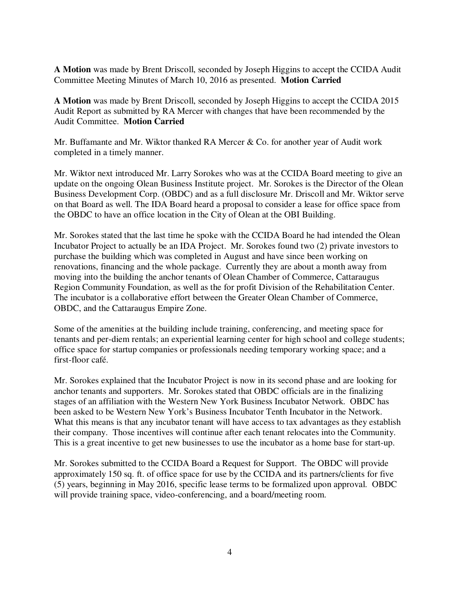**A Motion** was made by Brent Driscoll, seconded by Joseph Higgins to accept the CCIDA Audit Committee Meeting Minutes of March 10, 2016 as presented. **Motion Carried** 

**A Motion** was made by Brent Driscoll, seconded by Joseph Higgins to accept the CCIDA 2015 Audit Report as submitted by RA Mercer with changes that have been recommended by the Audit Committee. **Motion Carried** 

Mr. Buffamante and Mr. Wiktor thanked RA Mercer & Co. for another year of Audit work completed in a timely manner.

Mr. Wiktor next introduced Mr. Larry Sorokes who was at the CCIDA Board meeting to give an update on the ongoing Olean Business Institute project. Mr. Sorokes is the Director of the Olean Business Development Corp. (OBDC) and as a full disclosure Mr. Driscoll and Mr. Wiktor serve on that Board as well. The IDA Board heard a proposal to consider a lease for office space from the OBDC to have an office location in the City of Olean at the OBI Building.

Mr. Sorokes stated that the last time he spoke with the CCIDA Board he had intended the Olean Incubator Project to actually be an IDA Project. Mr. Sorokes found two (2) private investors to purchase the building which was completed in August and have since been working on renovations, financing and the whole package. Currently they are about a month away from moving into the building the anchor tenants of Olean Chamber of Commerce, Cattaraugus Region Community Foundation, as well as the for profit Division of the Rehabilitation Center. The incubator is a collaborative effort between the Greater Olean Chamber of Commerce, OBDC, and the Cattaraugus Empire Zone.

Some of the amenities at the building include training, conferencing, and meeting space for tenants and per-diem rentals; an experiential learning center for high school and college students; office space for startup companies or professionals needing temporary working space; and a first-floor café.

Mr. Sorokes explained that the Incubator Project is now in its second phase and are looking for anchor tenants and supporters. Mr. Sorokes stated that OBDC officials are in the finalizing stages of an affiliation with the Western New York Business Incubator Network. OBDC has been asked to be Western New York's Business Incubator Tenth Incubator in the Network. What this means is that any incubator tenant will have access to tax advantages as they establish their company. Those incentives will continue after each tenant relocates into the Community. This is a great incentive to get new businesses to use the incubator as a home base for start-up.

Mr. Sorokes submitted to the CCIDA Board a Request for Support. The OBDC will provide approximately 150 sq. ft. of office space for use by the CCIDA and its partners/clients for five (5) years, beginning in May 2016, specific lease terms to be formalized upon approval. OBDC will provide training space, video-conferencing, and a board/meeting room.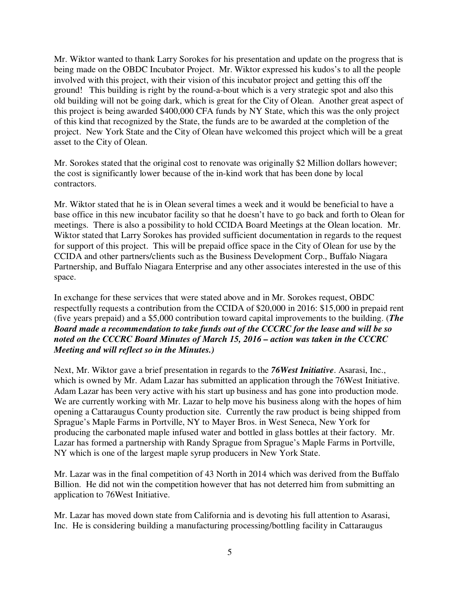Mr. Wiktor wanted to thank Larry Sorokes for his presentation and update on the progress that is being made on the OBDC Incubator Project. Mr. Wiktor expressed his kudos's to all the people involved with this project, with their vision of this incubator project and getting this off the ground! This building is right by the round-a-bout which is a very strategic spot and also this old building will not be going dark, which is great for the City of Olean. Another great aspect of this project is being awarded \$400,000 CFA funds by NY State, which this was the only project of this kind that recognized by the State, the funds are to be awarded at the completion of the project. New York State and the City of Olean have welcomed this project which will be a great asset to the City of Olean.

Mr. Sorokes stated that the original cost to renovate was originally \$2 Million dollars however; the cost is significantly lower because of the in-kind work that has been done by local contractors.

Mr. Wiktor stated that he is in Olean several times a week and it would be beneficial to have a base office in this new incubator facility so that he doesn't have to go back and forth to Olean for meetings. There is also a possibility to hold CCIDA Board Meetings at the Olean location. Mr. Wiktor stated that Larry Sorokes has provided sufficient documentation in regards to the request for support of this project. This will be prepaid office space in the City of Olean for use by the CCIDA and other partners/clients such as the Business Development Corp., Buffalo Niagara Partnership, and Buffalo Niagara Enterprise and any other associates interested in the use of this space.

In exchange for these services that were stated above and in Mr. Sorokes request, OBDC respectfully requests a contribution from the CCIDA of \$20,000 in 2016: \$15,000 in prepaid rent (five years prepaid) and a \$5,000 contribution toward capital improvements to the building. (*The Board made a recommendation to take funds out of the CCCRC for the lease and will be so noted on the CCCRC Board Minutes of March 15, 2016 – action was taken in the CCCRC Meeting and will reflect so in the Minutes.)*

Next, Mr. Wiktor gave a brief presentation in regards to the *76West Initiative*. Asarasi, Inc., which is owned by Mr. Adam Lazar has submitted an application through the 76West Initiative. Adam Lazar has been very active with his start up business and has gone into production mode. We are currently working with Mr. Lazar to help move his business along with the hopes of him opening a Cattaraugus County production site. Currently the raw product is being shipped from Sprague's Maple Farms in Portville, NY to Mayer Bros. in West Seneca, New York for producing the carbonated maple infused water and bottled in glass bottles at their factory. Mr. Lazar has formed a partnership with Randy Sprague from Sprague's Maple Farms in Portville, NY which is one of the largest maple syrup producers in New York State.

Mr. Lazar was in the final competition of 43 North in 2014 which was derived from the Buffalo Billion. He did not win the competition however that has not deterred him from submitting an application to 76West Initiative.

Mr. Lazar has moved down state from California and is devoting his full attention to Asarasi, Inc. He is considering building a manufacturing processing/bottling facility in Cattaraugus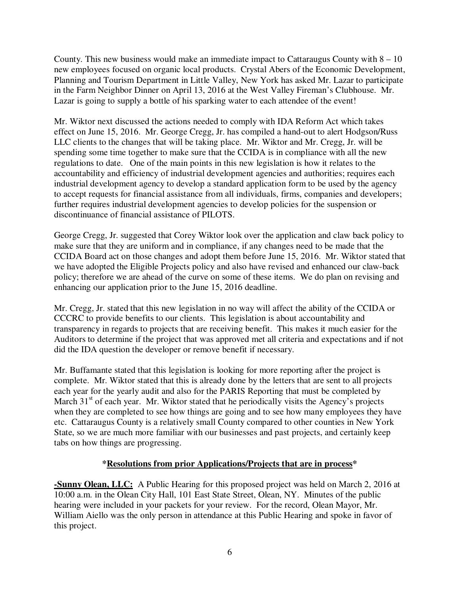County. This new business would make an immediate impact to Cattaraugus County with  $8 - 10$ new employees focused on organic local products. Crystal Abers of the Economic Development, Planning and Tourism Department in Little Valley, New York has asked Mr. Lazar to participate in the Farm Neighbor Dinner on April 13, 2016 at the West Valley Fireman's Clubhouse. Mr. Lazar is going to supply a bottle of his sparking water to each attendee of the event!

Mr. Wiktor next discussed the actions needed to comply with IDA Reform Act which takes effect on June 15, 2016. Mr. George Cregg, Jr. has compiled a hand-out to alert Hodgson/Russ LLC clients to the changes that will be taking place. Mr. Wiktor and Mr. Cregg, Jr. will be spending some time together to make sure that the CCIDA is in compliance with all the new regulations to date. One of the main points in this new legislation is how it relates to the accountability and efficiency of industrial development agencies and authorities; requires each industrial development agency to develop a standard application form to be used by the agency to accept requests for financial assistance from all individuals, firms, companies and developers; further requires industrial development agencies to develop policies for the suspension or discontinuance of financial assistance of PILOTS.

George Cregg, Jr. suggested that Corey Wiktor look over the application and claw back policy to make sure that they are uniform and in compliance, if any changes need to be made that the CCIDA Board act on those changes and adopt them before June 15, 2016. Mr. Wiktor stated that we have adopted the Eligible Projects policy and also have revised and enhanced our claw-back policy; therefore we are ahead of the curve on some of these items. We do plan on revising and enhancing our application prior to the June 15, 2016 deadline.

Mr. Cregg, Jr. stated that this new legislation in no way will affect the ability of the CCIDA or CCCRC to provide benefits to our clients. This legislation is about accountability and transparency in regards to projects that are receiving benefit. This makes it much easier for the Auditors to determine if the project that was approved met all criteria and expectations and if not did the IDA question the developer or remove benefit if necessary.

Mr. Buffamante stated that this legislation is looking for more reporting after the project is complete. Mr. Wiktor stated that this is already done by the letters that are sent to all projects each year for the yearly audit and also for the PARIS Reporting that must be completed by March  $31<sup>st</sup>$  of each year. Mr. Wiktor stated that he periodically visits the Agency's projects when they are completed to see how things are going and to see how many employees they have etc. Cattaraugus County is a relatively small County compared to other counties in New York State, so we are much more familiar with our businesses and past projects, and certainly keep tabs on how things are progressing.

### **\*Resolutions from prior Applications/Projects that are in process\***

**-Sunny Olean, LLC:** A Public Hearing for this proposed project was held on March 2, 2016 at 10:00 a.m. in the Olean City Hall, 101 East State Street, Olean, NY. Minutes of the public hearing were included in your packets for your review. For the record, Olean Mayor, Mr. William Aiello was the only person in attendance at this Public Hearing and spoke in favor of this project.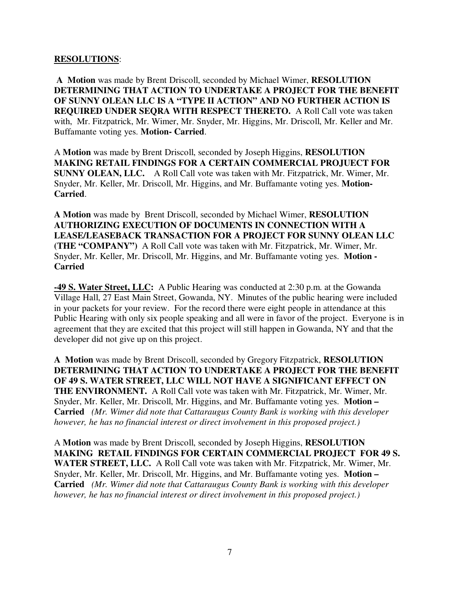#### **RESOLUTIONS**:

**A Motion** was made by Brent Driscoll, seconded by Michael Wimer, **RESOLUTION DETERMINING THAT ACTION TO UNDERTAKE A PROJECT FOR THE BENEFIT OF SUNNY OLEAN LLC IS A "TYPE II ACTION" AND NO FURTHER ACTION IS REQUIRED UNDER SEQRA WITH RESPECT THERETO.** A Roll Call vote was taken with, Mr. Fitzpatrick, Mr. Wimer, Mr. Snyder, Mr. Higgins, Mr. Driscoll, Mr. Keller and Mr. Buffamante voting yes. **Motion- Carried**.

A **Motion** was made by Brent Driscoll, seconded by Joseph Higgins, **RESOLUTION MAKING RETAIL FINDINGS FOR A CERTAIN COMMERCIAL PROJUECT FOR SUNNY OLEAN, LLC.** A Roll Call vote was taken with Mr. Fitzpatrick, Mr. Wimer, Mr. Snyder, Mr. Keller, Mr. Driscoll, Mr. Higgins, and Mr. Buffamante voting yes. **Motion-Carried**.

**A Motion** was made by Brent Driscoll, seconded by Michael Wimer, **RESOLUTION AUTHORIZING EXECUTION OF DOCUMENTS IN CONNECTION WITH A LEASE/LEASEBACK TRANSACTION FOR A PROJECT FOR SUNNY OLEAN LLC (THE "COMPANY")** A Roll Call vote was taken with Mr. Fitzpatrick, Mr. Wimer, Mr. Snyder, Mr. Keller, Mr. Driscoll, Mr. Higgins, and Mr. Buffamante voting yes. **Motion - Carried** 

**-49 S. Water Street, LLC:** A Public Hearing was conducted at 2:30 p.m. at the Gowanda Village Hall, 27 East Main Street, Gowanda, NY. Minutes of the public hearing were included in your packets for your review. For the record there were eight people in attendance at this Public Hearing with only six people speaking and all were in favor of the project. Everyone is in agreement that they are excited that this project will still happen in Gowanda, NY and that the developer did not give up on this project.

**A Motion** was made by Brent Driscoll, seconded by Gregory Fitzpatrick, **RESOLUTION DETERMINING THAT ACTION TO UNDERTAKE A PROJECT FOR THE BENEFIT OF 49 S. WATER STREET, LLC WILL NOT HAVE A SIGNIFICANT EFFECT ON THE ENVIRONMENT.** A Roll Call vote was taken with Mr. Fitzpatrick, Mr. Wimer, Mr. Snyder, Mr. Keller, Mr. Driscoll, Mr. Higgins, and Mr. Buffamante voting yes. **Motion – Carried** *(Mr. Wimer did note that Cattaraugus County Bank is working with this developer however, he has no financial interest or direct involvement in this proposed project.)* 

A **Motion** was made by Brent Driscoll, seconded by Joseph Higgins, **RESOLUTION MAKING RETAIL FINDINGS FOR CERTAIN COMMERCIAL PROJECT FOR 49 S. WATER STREET, LLC.** A Roll Call vote was taken with Mr. Fitzpatrick, Mr. Wimer, Mr. Snyder, Mr. Keller, Mr. Driscoll, Mr. Higgins, and Mr. Buffamante voting yes. **Motion – Carried** *(Mr. Wimer did note that Cattaraugus County Bank is working with this developer however, he has no financial interest or direct involvement in this proposed project.)*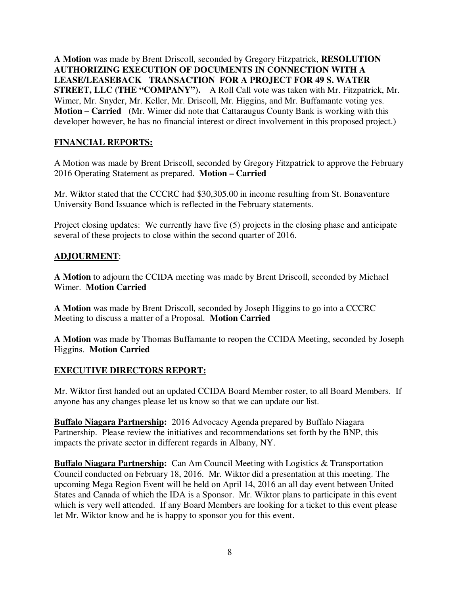**A Motion** was made by Brent Driscoll, seconded by Gregory Fitzpatrick, **RESOLUTION AUTHORIZING EXECUTION OF DOCUMENTS IN CONNECTION WITH A LEASE/LEASEBACK TRANSACTION FOR A PROJECT FOR 49 S. WATER STREET, LLC (THE "COMPANY").** A Roll Call vote was taken with Mr. Fitzpatrick, Mr. Wimer, Mr. Snyder, Mr. Keller, Mr. Driscoll, Mr. Higgins, and Mr. Buffamante voting yes. **Motion – Carried** (Mr. Wimer did note that Cattaraugus County Bank is working with this developer however, he has no financial interest or direct involvement in this proposed project.)

## **FINANCIAL REPORTS:**

A Motion was made by Brent Driscoll, seconded by Gregory Fitzpatrick to approve the February 2016 Operating Statement as prepared. **Motion – Carried** 

Mr. Wiktor stated that the CCCRC had \$30,305.00 in income resulting from St. Bonaventure University Bond Issuance which is reflected in the February statements.

Project closing updates: We currently have five (5) projects in the closing phase and anticipate several of these projects to close within the second quarter of 2016.

### **ADJOURMENT**:

**A Motion** to adjourn the CCIDA meeting was made by Brent Driscoll, seconded by Michael Wimer. **Motion Carried**

**A Motion** was made by Brent Driscoll, seconded by Joseph Higgins to go into a CCCRC Meeting to discuss a matter of a Proposal. **Motion Carried**

**A Motion** was made by Thomas Buffamante to reopen the CCIDA Meeting, seconded by Joseph Higgins. **Motion Carried** 

### **EXECUTIVE DIRECTORS REPORT:**

Mr. Wiktor first handed out an updated CCIDA Board Member roster, to all Board Members. If anyone has any changes please let us know so that we can update our list.

**Buffalo Niagara Partnership:** 2016 Advocacy Agenda prepared by Buffalo Niagara Partnership. Please review the initiatives and recommendations set forth by the BNP, this impacts the private sector in different regards in Albany, NY.

**Buffalo Niagara Partnership:** Can Am Council Meeting with Logistics & Transportation Council conducted on February 18, 2016. Mr. Wiktor did a presentation at this meeting. The upcoming Mega Region Event will be held on April 14, 2016 an all day event between United States and Canada of which the IDA is a Sponsor. Mr. Wiktor plans to participate in this event which is very well attended. If any Board Members are looking for a ticket to this event please let Mr. Wiktor know and he is happy to sponsor you for this event.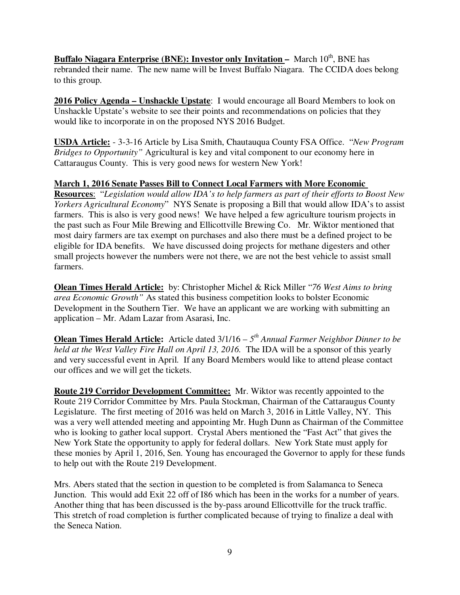**Buffalo Niagara Enterprise (BNE): Investor only Invitation – March 10<sup>th</sup>, BNE has** rebranded their name. The new name will be Invest Buffalo Niagara. The CCIDA does belong to this group.

**2016 Policy Agenda – Unshackle Upstate**: I would encourage all Board Members to look on Unshackle Upstate's website to see their points and recommendations on policies that they would like to incorporate in on the proposed NYS 2016 Budget.

**USDA Article:** - 3-3-16 Article by Lisa Smith, Chautauqua County FSA Office. "*New Program Bridges to Opportunity"* Agricultural is key and vital component to our economy here in Cattaraugus County. This is very good news for western New York!

**March 1, 2016 Senate Passes Bill to Connect Local Farmers with More Economic Resources**: "*Legislation would allow IDA's to help farmers as part of their efforts to Boost New Yorkers Agricultural Economy*" NYS Senate is proposing a Bill that would allow IDA's to assist farmers. This is also is very good news! We have helped a few agriculture tourism projects in the past such as Four Mile Brewing and Ellicottville Brewing Co. Mr. Wiktor mentioned that most dairy farmers are tax exempt on purchases and also there must be a defined project to be eligible for IDA benefits. We have discussed doing projects for methane digesters and other

farmers. **Olean Times Herald Article:** by: Christopher Michel & Rick Miller "*76 West Aims to bring area Economic Growth"* As stated this business competition looks to bolster Economic Development in the Southern Tier. We have an applicant we are working with submitting an application – Mr. Adam Lazar from Asarasi, Inc.

small projects however the numbers were not there, we are not the best vehicle to assist small

**Olean Times Herald Article:** Article dated 3/1/16 – *5 th Annual Farmer Neighbor Dinner to be held at the West Valley Fire Hall on April 13, 2016.* The IDA will be a sponsor of this yearly and very successful event in April. If any Board Members would like to attend please contact our offices and we will get the tickets.

**Route 219 Corridor Development Committee:** Mr. Wiktor was recently appointed to the Route 219 Corridor Committee by Mrs. Paula Stockman, Chairman of the Cattaraugus County Legislature. The first meeting of 2016 was held on March 3, 2016 in Little Valley, NY. This was a very well attended meeting and appointing Mr. Hugh Dunn as Chairman of the Committee who is looking to gather local support. Crystal Abers mentioned the "Fast Act" that gives the New York State the opportunity to apply for federal dollars. New York State must apply for these monies by April 1, 2016, Sen. Young has encouraged the Governor to apply for these funds to help out with the Route 219 Development.

Mrs. Abers stated that the section in question to be completed is from Salamanca to Seneca Junction. This would add Exit 22 off of I86 which has been in the works for a number of years. Another thing that has been discussed is the by-pass around Ellicottville for the truck traffic. This stretch of road completion is further complicated because of trying to finalize a deal with the Seneca Nation.